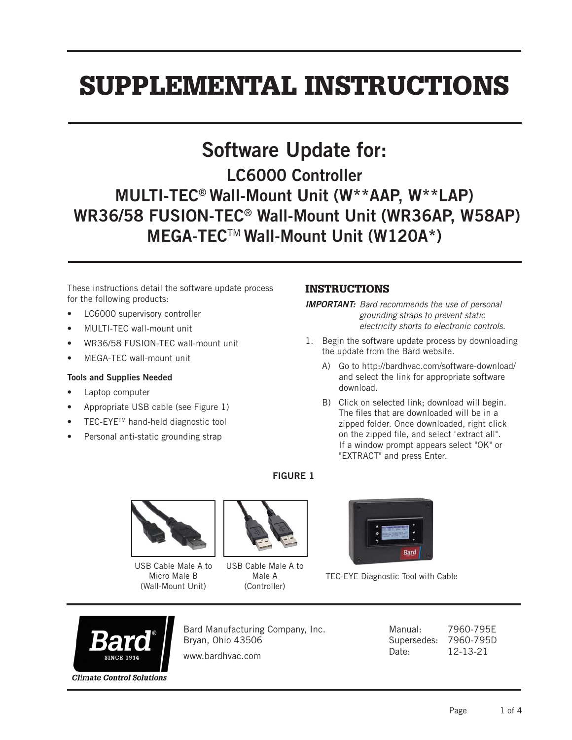# SUPPLEMENTAL INSTRUCTIONS

## Software Update for:

# LC6000 Controller MULTI-TEC® Wall-Mount Unit (W\*\*AAP, W\*\*LAP) WR36/58 FUSION-TEC® Wall-Mount Unit (WR36AP, W58AP) MEGA-TEC™ Wall-Mount Unit (W120A\*)

These instructions detail the software update process for the following products:

- LC6000 supervisory controller
- MULTI-TEC wall-mount unit
- WR36/58 FUSION-TEC wall-mount unit
- MEGA-TEC wall-mount unit

#### Tools and Supplies Needed

- Laptop computer
- Appropriate USB cable (see Figure 1)
- TEC-EYETM hand-held diagnostic tool
- Personal anti-static grounding strap

### INSTRUCTIONS

*IMPORTANT: Bard recommends the use of personal grounding straps to prevent static electricity shorts to electronic controls.*

- 1. Begin the software update process by downloading the update from the Bard website.
	- A) Go to http://bardhvac.com/software-download/ and select the link for appropriate software download.
	- B) Click on selected link; download will begin. The files that are downloaded will be in a zipped folder. Once downloaded, right click on the zipped file, and select "extract all". If a window prompt appears select "OK" or "EXTRACT" and press Enter.

FIGURE 1



USB Cable Male A to Micro Male B (Wall-Mount Unit)



USB Cable Male A to Male A (Controller)



TEC-EYE Diagnostic Tool with Cable



Bard Manufacturing Company, Inc. Bryan, Ohio 43506

www.bardhvac.com

Manual: 7960-795E Supersedes: 7960-795D Date: 12-13-21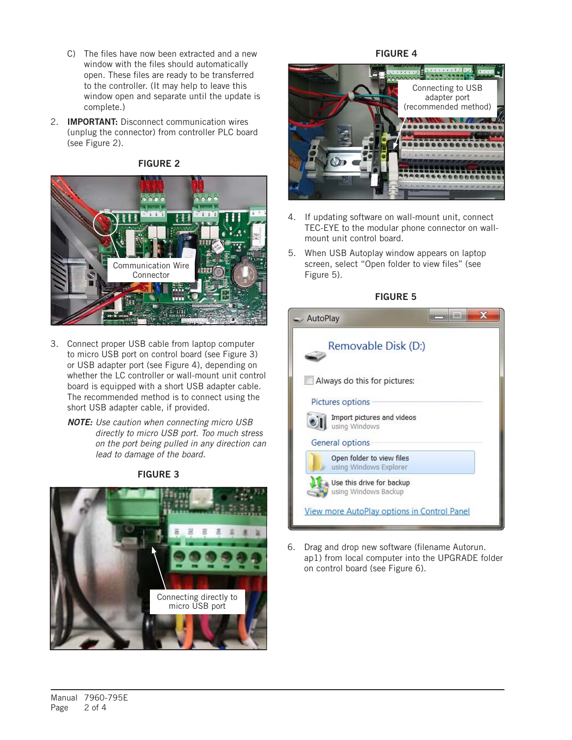- C) The files have now been extracted and a new window with the files should automatically open. These files are ready to be transferred to the controller. (It may help to leave this window open and separate until the update is complete.)
- 2. **IMPORTANT:** Disconnect communication wires (unplug the connector) from controller PLC board (see Figure 2).



#### FIGURE 2

- 3. Connect proper USB cable from laptop computer to micro USB port on control board (see Figure 3) or USB adapter port (see Figure 4), depending on whether the LC controller or wall-mount unit control board is equipped with a short USB adapter cable. The recommended method is to connect using the short USB adapter cable, if provided.
	- *NOTE: Use caution when connecting micro USB directly to micro USB port. Too much stress on the port being pulled in any direction can lead to damage of the board.*

FIGURE 3



#### FIGURE 4



- 4. If updating software on wall-mount unit, connect TEC-EYE to the modular phone connector on wallmount unit control board.
- 5. When USB Autoplay window appears on laptop screen, select "Open folder to view files" (see Figure 5).



| $\Rightarrow$ AutoPlay                              |  |
|-----------------------------------------------------|--|
| Removable Disk (D:)                                 |  |
| Always do this for pictures:                        |  |
| Pictures options                                    |  |
| Import pictures and videos<br>using Windows         |  |
| General options                                     |  |
| Open folder to view files<br>using Windows Explorer |  |
| Use this drive for backup<br>using Windows Backup   |  |
| <b>View more AutoPlay options in Control Panel</b>  |  |

6. Drag and drop new software (filename Autorun. ap1) from local computer into the UPGRADE folder on control board (see Figure 6).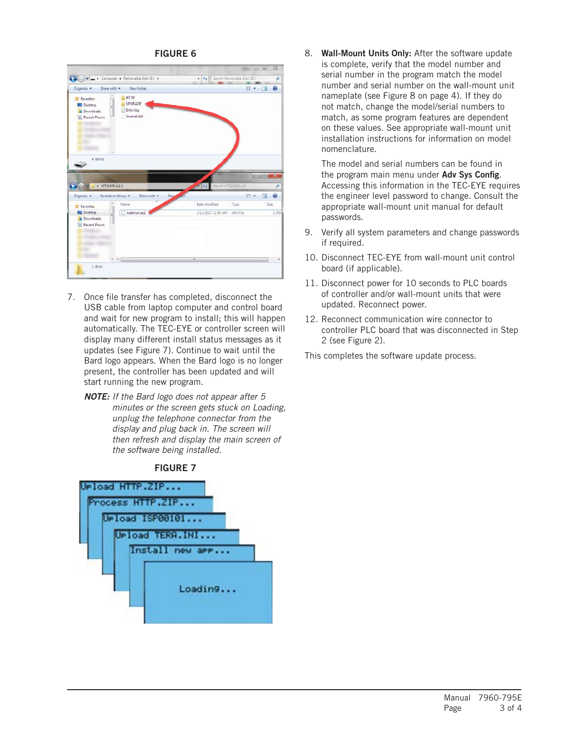#### FIGURE 6

|                                                                               |                                                    |                                     |                            | $= 0$        | Ø             |
|-------------------------------------------------------------------------------|----------------------------------------------------|-------------------------------------|----------------------------|--------------|---------------|
|                                                                               | Computer > Removable Disk (D:) >                   | $-4.4$                              | Search Removable Disk (Dr) |              | p             |
| Share with *<br>Organize *                                                    | New folder                                         |                                     | ◎ ▼                        | - 11         | ø             |
| <b>Favorites</b><br>Desktop<br>g.<br><b>Downloads</b><br><b>Recent Places</b> | <b>HTTP</b><br>UPGRADE<br>Error.log<br>Journal.dat |                                     |                            |              |               |
| 4 items                                                                       |                                                    |                                     |                            | <b>CONCO</b> |               |
| > MT51000.1.1.0                                                               |                                                    |                                     | Search MT51000.1.1.0       |              | ×             |
| Organize -                                                                    | Include in library<br>Share with<br>New<br>Name    | <b>ART</b>                          | 胆汁                         | 門            | P<br>$\Omega$ |
| Favorites<br>Desktop<br><b>n</b> Downloads<br>Recent Places                   | Autorun.apl                                        | Date modified<br>3/13/2017 11:56 AM | Type<br>API File           | Size         | 1,760         |

- 7. Once file transfer has completed, disconnect the USB cable from laptop computer and control board and wait for new program to install; this will happen automatically. The TEC-EYE or controller screen will display many different install status messages as it updates (see Figure 7). Continue to wait until the Bard logo appears. When the Bard logo is no longer present, the controller has been updated and will start running the new program.
	- *NOTE: If the Bard logo does not appear after 5 minutes or the screen gets stuck on Loading, unplug the telephone connector from the display and plug back in. The screen will then refresh and display the main screen of the software being installed.*

#### FIGURE 7



8. Wall-Mount Units Only: After the software update is complete, verify that the model number and serial number in the program match the model number and serial number on the wall-mount unit nameplate (see Figure 8 on page 4). If they do not match, change the model/serial numbers to match, as some program features are dependent on these values. See appropriate wall-mount unit installation instructions for information on model nomenclature.

The model and serial numbers can be found in the program main menu under Adv Sys Config. Accessing this information in the TEC-EYE requires the engineer level password to change. Consult the appropriate wall-mount unit manual for default passwords.

- 9. Verify all system parameters and change passwords if required.
- 10. Disconnect TEC-EYE from wall-mount unit control board (if applicable).
- 11. Disconnect power for 10 seconds to PLC boards of controller and/or wall-mount units that were updated. Reconnect power.
- 12. Reconnect communication wire connector to controller PLC board that was disconnected in Step 2 (see Figure 2).

This completes the software update process.